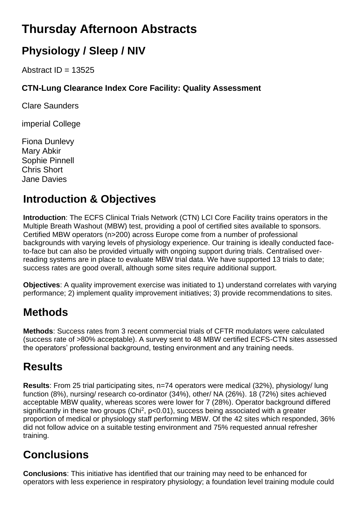# **Thursday Afternoon Abstracts**

# **Physiology / Sleep / NIV**

Abstract  $ID = 13525$ 

#### **CTN-Lung Clearance Index Core Facility: Quality Assessment**

Clare Saunders

imperial College

Fiona Dunlevy Mary Abkir Sophie Pinnell Chris Short Jane Davies

## **Introduction & Objectives**

**Introduction**: The ECFS Clinical Trials Network (CTN) LCI Core Facility trains operators in the Multiple Breath Washout (MBW) test, providing a pool of certified sites available to sponsors. Certified MBW operators (n>200) across Europe come from a number of professional backgrounds with varying levels of physiology experience. Our training is ideally conducted faceto-face but can also be provided virtually with ongoing support during trials. Centralised overreading systems are in place to evaluate MBW trial data. We have supported 13 trials to date; success rates are good overall, although some sites require additional support.

**Objectives**: A quality improvement exercise was initiated to 1) understand correlates with varying performance; 2) implement quality improvement initiatives; 3) provide recommendations to sites.

## **Methods**

**Methods**: Success rates from 3 recent commercial trials of CFTR modulators were calculated (success rate of >80% acceptable). A survey sent to 48 MBW certified ECFS-CTN sites assessed the operators' professional background, testing environment and any training needs.

## **Results**

**Results**: From 25 trial participating sites, n=74 operators were medical (32%), physiology/ lung function (8%), nursing/ research co-ordinator (34%), other/ NA (26%). 18 (72%) sites achieved acceptable MBW quality, whereas scores were lower for 7 (28%). Operator background differed significantly in these two groups (Chi<sup>2</sup>,  $p$ <0.01), success being associated with a greater proportion of medical or physiology staff performing MBW. Of the 42 sites which responded, 36% did not follow advice on a suitable testing environment and 75% requested annual refresher training.

# **Conclusions**

**Conclusions**: This initiative has identified that our training may need to be enhanced for operators with less experience in respiratory physiology; a foundation level training module could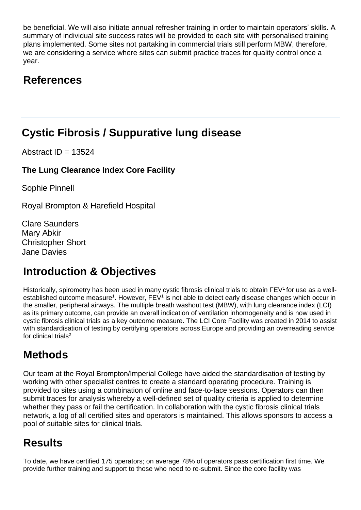be beneficial. We will also initiate annual refresher training in order to maintain operators' skills. A summary of individual site success rates will be provided to each site with personalised training plans implemented. Some sites not partaking in commercial trials still perform MBW, therefore, we are considering a service where sites can submit practice traces for quality control once a year.

## **References**

## **Cystic Fibrosis / Suppurative lung disease**

Abstract  $ID = 13524$ 

#### **The Lung Clearance Index Core Facility**

Sophie Pinnell

Royal Brompton & Harefield Hospital

Clare Saunders Mary Abkir Christopher Short Jane Davies

## **Introduction & Objectives**

Historically, spirometry has been used in many cystic fibrosis clinical trials to obtain FEV1 for use as a wellestablished outcome measure<sup>1</sup>. However, FEV<sup>1</sup> is not able to detect early disease changes which occur in the smaller, peripheral airways. The multiple breath washout test (MBW), with lung clearance index (LCI) as its primary outcome, can provide an overall indication of ventilation inhomogeneity and is now used in cystic fibrosis clinical trials as a key outcome measure. The LCI Core Facility was created in 2014 to assist with standardisation of testing by certifying operators across Europe and providing an overreading service for clinical trials<sup>2</sup>

## **Methods**

Our team at the Royal Brompton/Imperial College have aided the standardisation of testing by working with other specialist centres to create a standard operating procedure. Training is provided to sites using a combination of online and face-to-face sessions. Operators can then submit traces for analysis whereby a well-defined set of quality criteria is applied to determine whether they pass or fail the certification. In collaboration with the cystic fibrosis clinical trials network, a log of all certified sites and operators is maintained. This allows sponsors to access a pool of suitable sites for clinical trials.

## **Results**

To date, we have certified 175 operators; on average 78% of operators pass certification first time. We provide further training and support to those who need to re-submit. Since the core facility was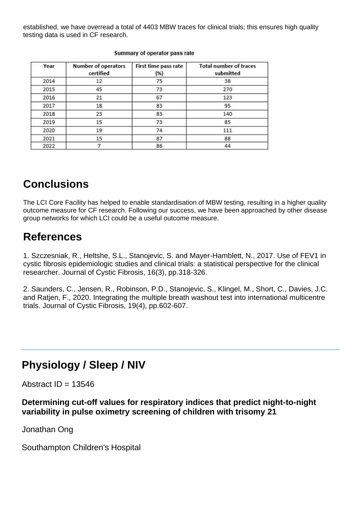established, we have overread a total of 4403 MBW traces for clinical trials; this ensures high quality testing data is used in CF research.

| Year | <b>Number of operators</b><br>certified | First time pass rate<br>(%) | <b>Total number of traces</b><br>submitted |
|------|-----------------------------------------|-----------------------------|--------------------------------------------|
| 2014 | 12                                      | 75                          | 38                                         |
| 2015 | 45                                      | 73                          | 270                                        |
| 2016 | 21                                      | 67                          | 123                                        |
| 2017 | 18                                      | 83                          | 95                                         |
| 2018 | 23                                      | 83                          | 140                                        |
| 2019 | 15                                      | 73                          | 85                                         |
| 2020 | 19                                      | 74                          | 111                                        |
| 2021 | 15                                      | 87                          | 88                                         |
| 2022 |                                         | 86                          | 44                                         |

#### Summary of operator pass rate

#### **Conclusions**

The LCI Core Facility has helped to enable standardisation of MBW testing, resulting in a higher quality outcome measure for CF research. Following our success, we have been approached by other disease group networks for which LCI could be a useful outcome measure.

#### **References**

1. Szczesniak, R., Heltshe, S.L., Stanojevic, S. and Mayer-Hamblett, N., 2017. Use of FEV1 in cystic fibrosis epidemiologic studies and clinical trials: a statistical perspective for the clinical researcher. Journal of Cystic Fibrosis, 16(3), pp.318-326.

2. Saunders, C., Jensen, R., Robinson, P.D., Stanojevic, S., Klingel, M., Short, C., Davies, J.C. and Ratjen, F., 2020. Integrating the multiple breath washout test into international multicentre trials. Journal of Cystic Fibrosis, 19(4), pp.602-607.

## **Physiology / Sleep / NIV**

Abstract  $ID = 13546$ 

**Determining cut-off values for respiratory indices that predict night-to-night variability in pulse oximetry screening of children with trisomy 21**

Jonathan Ong

Southampton Children's Hospital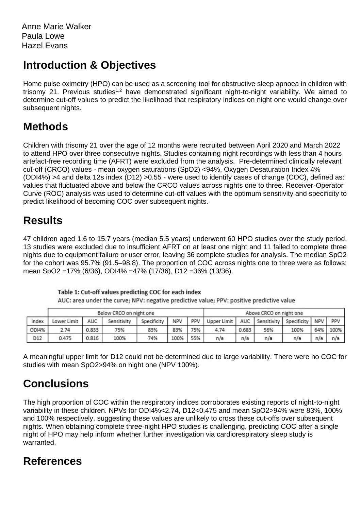Home pulse oximetry (HPO) can be used as a screening tool for obstructive sleep apnoea in children with trisomy 21. Previous studies<sup>1,2</sup> have demonstrated significant night-to-night variability. We aimed to determine cut-off values to predict the likelihood that respiratory indices on night one would change over subsequent nights.

## **Methods**

Children with trisomy 21 over the age of 12 months were recruited between April 2020 and March 2022 to attend HPO over three consecutive nights. Studies containing night recordings with less than 4 hours artefact-free recording time (AFRT) were excluded from the analysis. Pre-determined clinically relevant cut-off (CRCO) values - mean oxygen saturations (SpO2) <94%, Oxygen Desaturation Index 4% (ODI4%) >4 and delta 12s index (D12) >0.55 - were used to identify cases of change (COC), defined as: values that fluctuated above and below the CRCO values across nights one to three. Receiver-Operator Curve (ROC) analysis was used to determine cut-off values with the optimum sensitivity and specificity to predict likelihood of becoming COC over subsequent nights.

## **Results**

47 children aged 1.6 to 15.7 years (median 5.5 years) underwent 60 HPO studies over the study period. 13 studies were excluded due to insufficient AFRT on at least one night and 11 failed to complete three nights due to equipment failure or user error, leaving 36 complete studies for analysis. The median SpO2 for the cohort was 95.7% (91.5–98.8). The proportion of COC across nights one to three were as follows: mean SpO2 =17% (6/36), ODI4% =47% (17/36), D12 =36% (13/36).

|       |             |       | Below CRCO on night one |             |      |     |             |       | Above CRCO on night one         |      |     |      |
|-------|-------------|-------|-------------------------|-------------|------|-----|-------------|-------|---------------------------------|------|-----|------|
| Index | Lower Limit | AUC.  | Sensitivity             | Specificity | NPV  | PPV | Upper Limit |       | AUC   Sensitivity   Specificity |      | NPV | PPV  |
| ODI4% | 2.74        | 0.833 | 75%                     | 83%         | 83%  | 75% | 4.74        | 0.683 | 56%                             | 100% | 64% | 100% |
| D12   | 0.475       | 0.816 | 100%                    | 74%         | 100% | 55% | n/a         | n/a   | n/a                             | n/a  | n/a | n/a  |

Table 1: Cut-off values predicting COC for each index

AUC: area under the curve; NPV: negative predictive value; PPV: positive predictive value

A meaningful upper limit for D12 could not be determined due to large variability. There were no COC for studies with mean SpO2>94% on night one (NPV 100%).

## **Conclusions**

The high proportion of COC within the respiratory indices corroborates existing reports of night-to-night variability in these children. NPVs for ODI4%<2.74, D12<0.475 and mean SpO2>94% were 83%, 100% and 100% respectively, suggesting these values are unlikely to cross these cut-offs over subsequent nights. When obtaining complete three-night HPO studies is challenging, predicting COC after a single night of HPO may help inform whether further investigation via cardiorespiratory sleep study is warranted.

## **References**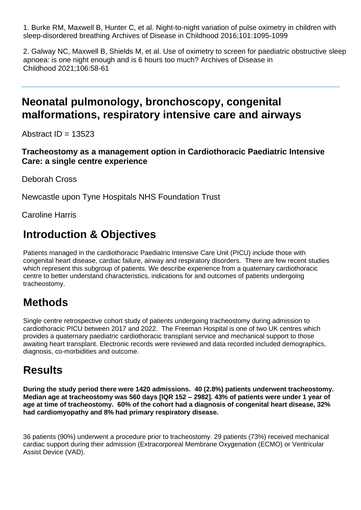1. Burke RM, Maxwell B, Hunter C, et al. Night-to-night variation of pulse oximetry in children with sleep-disordered breathing Archives of Disease in Childhood 2016;101:1095-1099

2. Galway NC, Maxwell B, Shields M, et al. Use of oximetry to screen for paediatric obstructive sleep apnoea: is one night enough and is 6 hours too much? Archives of Disease in Childhood 2021;106:58-61

#### **Neonatal pulmonology, bronchoscopy, congenital malformations, respiratory intensive care and airways**

Abstract  $ID = 13523$ 

#### **Tracheostomy as a management option in Cardiothoracic Paediatric Intensive Care: a single centre experience**

Deborah Cross

Newcastle upon Tyne Hospitals NHS Foundation Trust

Caroline Harris

## **Introduction & Objectives**

Patients managed in the cardiothoracic Paediatric Intensive Care Unit (PICU) include those with congenital heart disease, cardiac failure, airway and respiratory disorders. There are few recent studies which represent this subgroup of patients. We describe experience from a quaternary cardiothoracic centre to better understand characteristics, indications for and outcomes of patients undergoing tracheostomy.

## **Methods**

Single centre retrospective cohort study of patients undergoing tracheostomy during admission to cardiothoracic PICU between 2017 and 2022. The Freeman Hospital is one of two UK centres which provides a quaternary paediatric cardiothoracic transplant service and mechanical support to those awaiting heart transplant. Electronic records were reviewed and data recorded included demographics, diagnosis, co-morbidities and outcome.

## **Results**

**During the study period there were 1420 admissions. 40 (2.8%) patients underwent tracheostomy. Median age at tracheostomy was 560 days [IQR 152 – 2982]. 43% of patients were under 1 year of age at time of tracheostomy. 60% of the cohort had a diagnosis of congenital heart disease, 32% had cardiomyopathy and 8% had primary respiratory disease.** 

36 patients (90%) underwent a procedure prior to tracheostomy. 29 patients (73%) received mechanical cardiac support during their admission (Extracorporeal Membrane Oxygenation (ECMO) or Ventricular Assist Device (VAD).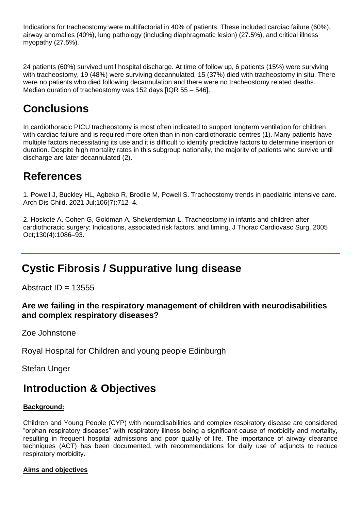Indications for tracheostomy were multifactorial in 40% of patients. These included cardiac failure (60%), airway anomalies (40%), lung pathology (including diaphragmatic lesion) (27.5%), and critical illness myopathy (27.5%).

24 patients (60%) survived until hospital discharge. At time of follow up, 6 patients (15%) were surviving with tracheostomy, 19 (48%) were surviving decannulated, 15 (37%) died with tracheostomy in situ. There were no patients who died following decannulation and there were no tracheostomy related deaths. Median duration of tracheostomy was 152 days [IQR 55 – 546].

## **Conclusions**

In cardiothoracic PICU tracheostomy is most often indicated to support longterm ventilation for children with cardiac failure and is required more often than in non-cardiothoracic centres (1). Many patients have multiple factors necessitating its use and it is difficult to identify predictive factors to determine insertion or duration. Despite high mortality rates in this subgroup nationally, the majority of patients who survive until discharge are later decannulated (2).

#### **References**

1. Powell J, Buckley HL, Agbeko R, Brodlie M, Powell S. Tracheostomy trends in paediatric intensive care. Arch Dis Child. 2021 Jul;106(7):712–4.

2. Hoskote A, Cohen G, Goldman A, Shekerdemian L. Tracheostomy in infants and children after cardiothoracic surgery: Indications, associated risk factors, and timing. J Thorac Cardiovasc Surg. 2005 Oct;130(4):1086–93.

## **Cystic Fibrosis / Suppurative lung disease**

Abstract  $ID = 13555$ 

#### **Are we failing in the respiratory management of children with neurodisabilities and complex respiratory diseases?**

Zoe Johnstone

Royal Hospital for Children and young people Edinburgh

Stefan Unger

#### **Introduction & Objectives**

#### **Background:**

Children and Young People (CYP) with neurodisabilities and complex respiratory disease are considered "orphan respiratory diseases" with respiratory illness being a significant cause of morbidity and mortality, resulting in frequent hospital admissions and poor quality of life. The importance of airway clearance techniques (ACT) has been documented, with recommendations for daily use of adjuncts to reduce respiratory morbidity.

#### **Aims and objectives**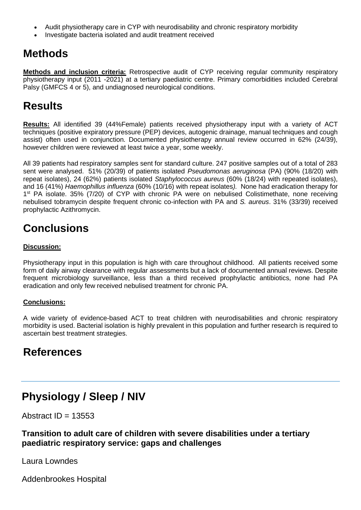- Audit physiotherapy care in CYP with neurodisability and chronic respiratory morbidity
- Investigate bacteria isolated and audit treatment received

#### **Methods**

**Methods and inclusion criteria:** Retrospective audit of CYP receiving regular community respiratory physiotherapy input (2011 -2021) at a tertiary paediatric centre. Primary comorbidities included Cerebral Palsy (GMFCS 4 or 5), and undiagnosed neurological conditions.

## **Results**

**Results:** All identified 39 (44%Female) patients received physiotherapy input with a variety of ACT techniques (positive expiratory pressure (PEP) devices, autogenic drainage, manual techniques and cough assist) often used in conjunction. Documented physiotherapy annual review occurred in 62% (24/39), however children were reviewed at least twice a year, some weekly.

All 39 patients had respiratory samples sent for standard culture. 247 positive samples out of a total of 283 sent were analysed. 51% (20/39) of patients isolated *Pseudomonas aeruginosa* (PA) (90% (18/20) with repeat isolates), 24 (62%) patients isolated *Staphylococcus aureus* (60% (18/24) with repeated isolates), and 16 (41%) *Haemophillus influenza* (60% (10/16) with repeat isolates*).* None had eradication therapy for 1<sup>st</sup> PA isolate. 35% (7/20) of CYP with chronic PA were on nebulised Colistimethate, none receiving nebulised tobramycin despite frequent chronic co-infection with PA and *S. aureus*. 31% (33/39) received prophylactic Azithromycin.

## **Conclusions**

#### **Discussion:**

Physiotherapy input in this population is high with care throughout childhood. All patients received some form of daily airway clearance with regular assessments but a lack of documented annual reviews. Despite frequent microbiology surveillance, less than a third received prophylactic antibiotics, none had PA eradication and only few received nebulised treatment for chronic PA.

#### **Conclusions:**

A wide variety of evidence-based ACT to treat children with neurodisabilities and chronic respiratory morbidity is used. Bacterial isolation is highly prevalent in this population and further research is required to ascertain best treatment strategies.

#### **References**

#### **Physiology / Sleep / NIV**

Abstract  $ID = 13553$ 

#### **Transition to adult care of children with severe disabilities under a tertiary paediatric respiratory service: gaps and challenges**

Laura Lowndes

Addenbrookes Hospital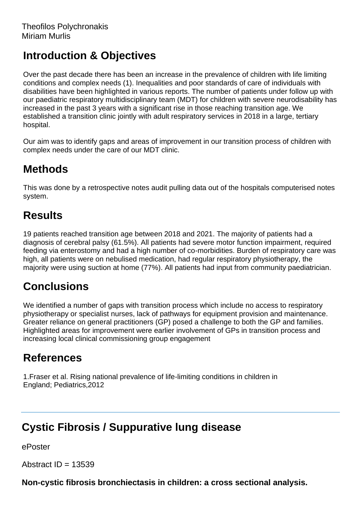Over the past decade there has been an increase in the prevalence of children with life limiting conditions and complex needs (1). Inequalities and poor standards of care of individuals with disabilities have been highlighted in various reports. The number of patients under follow up with our paediatric respiratory multidisciplinary team (MDT) for children with severe neurodisability has increased in the past 3 years with a significant rise in those reaching transition age. We established a transition clinic jointly with adult respiratory services in 2018 in a large, tertiary hospital.

Our aim was to identify gaps and areas of improvement in our transition process of children with complex needs under the care of our MDT clinic.

## **Methods**

This was done by a retrospective notes audit pulling data out of the hospitals computerised notes system.

## **Results**

19 patients reached transition age between 2018 and 2021. The majority of patients had a diagnosis of cerebral palsy (61.5%). All patients had severe motor function impairment, required feeding via enterostomy and had a high number of co-morbidities. Burden of respiratory care was high, all patients were on nebulised medication, had regular respiratory physiotherapy, the majority were using suction at home (77%). All patients had input from community paediatrician.

## **Conclusions**

We identified a number of gaps with transition process which include no access to respiratory physiotherapy or specialist nurses, lack of pathways for equipment provision and maintenance. Greater reliance on general practitioners (GP) posed a challenge to both the GP and families. Highlighted areas for improvement were earlier involvement of GPs in transition process and increasing local clinical commissioning group engagement

## **References**

1.Fraser et al. Rising national prevalence of life-limiting conditions in children in England; Pediatrics,2012

## **Cystic Fibrosis / Suppurative lung disease**

ePoster

Abstract  $ID = 13539$ 

**Non-cystic fibrosis bronchiectasis in children: a cross sectional analysis.**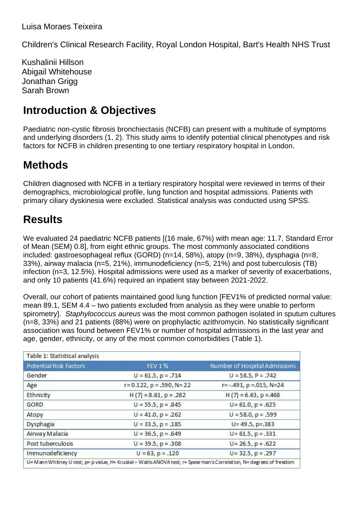Children's Clinical Research Facility, Royal London Hospital, Bart's Health NHS Trust

Kushalinii Hillson Abigail Whitehouse Jonathan Grigg Sarah Brown

## **Introduction & Objectives**

Paediatric non-cystic fibrosis bronchiectasis (NCFB) can present with a multitude of symptoms and underlying disorders (1, 2). This study aims to identify potential clinical phenotypes and risk factors for NCFB in children presenting to one tertiary respiratory hospital in London.

## **Methods**

Children diagnosed with NCFB in a tertiary respiratory hospital were reviewed in terms of their demographics, microbiological profile, lung function and hospital admissions. Patients with primary ciliary dyskinesia were excluded. Statistical analysis was conducted using SPSS.

## **Results**

We evaluated 24 paediatric NCFB patients [(16 male, 67%) with mean age: 11.7, Standard Error of Mean (SEM) 0.8], from eight ethnic groups. The most commonly associated conditions included: gastroesophageal reflux (GORD) (n=14, 58%), atopy (n=9, 38%), dysphagia (n=8, 33%), airway malacia (n=5, 21%), immunodeficiency (n=5, 21%) and post tuberculosis (TB) infection (n=3, 12.5%). Hospital admissions were used as a marker of severity of exacerbations, and only 10 patients (41.6%) required an inpatient stay between 2021-2022.

Overall, our cohort of patients maintained good lung function [FEV1% of predicted normal value: mean 89.1, SEM 4.4 – two patients excluded from analysis as they were unable to perform spirometry]. *Staphylococcus aureus* was the most common pathogen isolated in sputum cultures (n=8, 33%) and 21 patients (88%) were on prophylactic azithromycin. No statistically significant association was found between FEV1% or number of hospital admissions in the last year and age, gender, ethnicity, or any of the most common comorbidities (Table 1).

| <b>FEV 1%</b>                       | Number of Hospital Admissions       |
|-------------------------------------|-------------------------------------|
| $U = 61.5$ , $p = .714$             | $U = 58.5, P = .742$                |
| $r = 0.122$ , $p = .590$ , $N = 22$ | $r = -.491$ , $p = .015$ , $N = 24$ |
| $H(7) = 8.61, p = .282$             | $H(7) = 6.63$ , $p = 468$           |
| $U = 55.5$ , $p = .845$             | $U = 61.0$ , $p = .625$             |
| $U = 41.0$ , $p = .262$             | $U = 58.0, p = .599$                |
| $U = 33.5, p = .185$                | $U = 49.5$ , p=.383                 |
| $U = 36.5$ , $p = .649$             | $U = 61.5$ , $p = .331$             |
| $U = 39.5$ , $p = .308$             | $U = 26.5$ , $p = .622$             |
| $U = 63$ , $p = .120$               | $U = 32.5$ , $p = .297$             |
|                                     |                                     |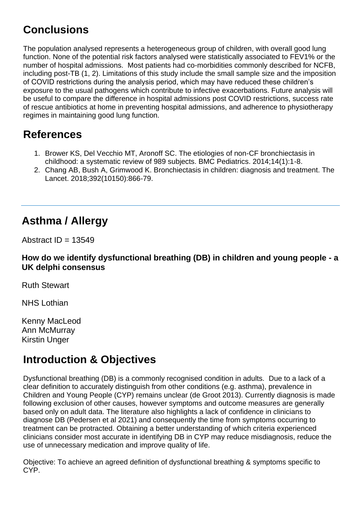# **Conclusions**

The population analysed represents a heterogeneous group of children, with overall good lung function. None of the potential risk factors analysed were statistically associated to FEV1% or the number of hospital admissions. Most patients had co-morbidities commonly described for NCFB, including post-TB (1, 2). Limitations of this study include the small sample size and the imposition of COVID restrictions during the analysis period, which may have reduced these children's exposure to the usual pathogens which contribute to infective exacerbations. Future analysis will be useful to compare the difference in hospital admissions post COVID restrictions, success rate of rescue antibiotics at home in preventing hospital admissions, and adherence to physiotherapy regimes in maintaining good lung function.

## **References**

- 1. Brower KS, Del Vecchio MT, Aronoff SC. The etiologies of non-CF bronchiectasis in childhood: a systematic review of 989 subjects. BMC Pediatrics. 2014;14(1):1-8.
- 2. Chang AB, Bush A, Grimwood K. Bronchiectasis in children: diagnosis and treatment. The Lancet. 2018;392(10150):866-79.

## **Asthma / Allergy**

Abstract  $ID = 13549$ 

#### **How do we identify dysfunctional breathing (DB) in children and young people - a UK delphi consensus**

Ruth Stewart

NHS Lothian

Kenny MacLeod Ann McMurray Kirstin Unger

## **Introduction & Objectives**

Dysfunctional breathing (DB) is a commonly recognised condition in adults. Due to a lack of a clear definition to accurately distinguish from other conditions (e.g. asthma), prevalence in Children and Young People (CYP) remains unclear (de Groot 2013). Currently diagnosis is made following exclusion of other causes, however symptoms and outcome measures are generally based only on adult data. The literature also highlights a lack of confidence in clinicians to diagnose DB (Pedersen et al 2021) and consequently the time from symptoms occurring to treatment can be protracted. Obtaining a better understanding of which criteria experienced clinicians consider most accurate in identifying DB in CYP may reduce misdiagnosis, reduce the use of unnecessary medication and improve quality of life.

Objective: To achieve an agreed definition of dysfunctional breathing & symptoms specific to CYP.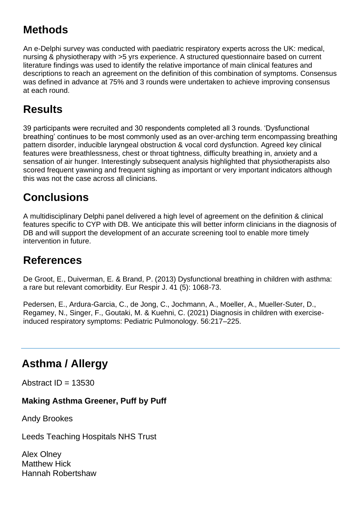# **Methods**

An e-Delphi survey was conducted with paediatric respiratory experts across the UK: medical, nursing & physiotherapy with >5 yrs experience. A structured questionnaire based on current literature findings was used to identify the relative importance of main clinical features and descriptions to reach an agreement on the definition of this combination of symptoms. Consensus was defined in advance at 75% and 3 rounds were undertaken to achieve improving consensus at each round.

## **Results**

39 participants were recruited and 30 respondents completed all 3 rounds. 'Dysfunctional breathing' continues to be most commonly used as an over-arching term encompassing breathing pattern disorder, inducible laryngeal obstruction & vocal cord dysfunction. Agreed key clinical features were breathlessness, chest or throat tightness, difficulty breathing in, anxiety and a sensation of air hunger. Interestingly subsequent analysis highlighted that physiotherapists also scored frequent yawning and frequent sighing as important or very important indicators although this was not the case across all clinicians.

## **Conclusions**

A multidisciplinary Delphi panel delivered a high level of agreement on the definition & clinical features specific to CYP with DB. We anticipate this will better inform clinicians in the diagnosis of DB and will support the development of an accurate screening tool to enable more timely intervention in future.

#### **References**

De Groot, E., Duiverman, E. & Brand, P. (2013) Dysfunctional breathing in children with asthma: a rare but relevant comorbidity. Eur Respir J. 41 (5): 1068-73.

Pedersen, E., Ardura-Garcia, C., de Jong, C., Jochmann, A., Moeller, A., Mueller-Suter, D., Regamey, N., Singer, F., Goutaki, M. & Kuehni, C. (2021) Diagnosis in children with exercise‐ induced respiratory symptoms: Pediatric Pulmonology. 56:217–225.

## **Asthma / Allergy**

Abstract  $ID = 13530$ 

#### **Making Asthma Greener, Puff by Puff**

Andy Brookes

Leeds Teaching Hospitals NHS Trust

Alex Olney Matthew Hick Hannah Robertshaw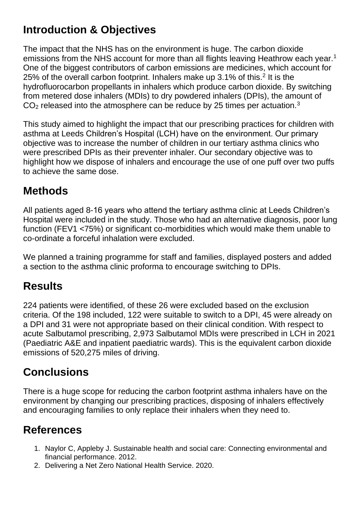The impact that the NHS has on the environment is huge. The carbon dioxide emissions from the NHS account for more than all flights leaving Heathrow each year.<sup>1</sup> One of the biggest contributors of carbon emissions are medicines, which account for 25% of the overall carbon footprint. Inhalers make up 3.1% of this.<sup>2</sup> It is the hydrofluorocarbon propellants in inhalers which produce carbon dioxide. By switching from metered dose inhalers (MDIs) to dry powdered inhalers (DPIs), the amount of  $CO<sub>2</sub>$  released into the atmosphere can be reduce by 25 times per actuation.<sup>3</sup>

This study aimed to highlight the impact that our prescribing practices for children with asthma at Leeds Children's Hospital (LCH) have on the environment. Our primary objective was to increase the number of children in our tertiary asthma clinics who were prescribed DPIs as their preventer inhaler. Our secondary objective was to highlight how we dispose of inhalers and encourage the use of one puff over two puffs to achieve the same dose.

## **Methods**

All patients aged 8-16 years who attend the tertiary asthma clinic at Leeds Children's Hospital were included in the study. Those who had an alternative diagnosis, poor lung function (FEV1 <75%) or significant co-morbidities which would make them unable to co-ordinate a forceful inhalation were excluded.

We planned a training programme for staff and families, displayed posters and added a section to the asthma clinic proforma to encourage switching to DPIs.

## **Results**

224 patients were identified, of these 26 were excluded based on the exclusion criteria. Of the 198 included, 122 were suitable to switch to a DPI, 45 were already on a DPI and 31 were not appropriate based on their clinical condition. With respect to acute Salbutamol prescribing, 2,973 Salbutamol MDIs were prescribed in LCH in 2021 (Paediatric A&E and inpatient paediatric wards). This is the equivalent carbon dioxide emissions of 520,275 miles of driving.

## **Conclusions**

There is a huge scope for reducing the carbon footprint asthma inhalers have on the environment by changing our prescribing practices, disposing of inhalers effectively and encouraging families to only replace their inhalers when they need to.

## **References**

- 1. Naylor C, Appleby J. Sustainable health and social care: Connecting environmental and financial performance. 2012.
- 2. Delivering a Net Zero National Health Service. 2020.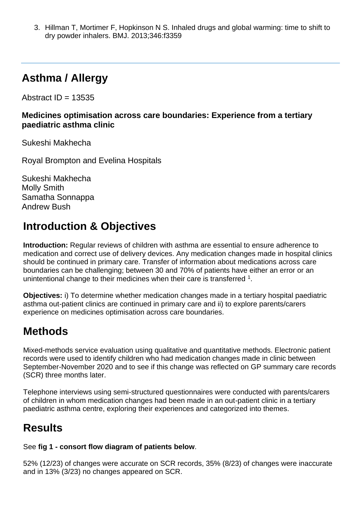3. Hillman T, Mortimer F, Hopkinson N S. Inhaled drugs and global warming: time to shift to dry powder inhalers. BMJ. 2013;346:f3359

## **Asthma / Allergy**

Abstract  $ID = 13535$ 

**Medicines optimisation across care boundaries: Experience from a tertiary paediatric asthma clinic**

Sukeshi Makhecha

Royal Brompton and Evelina Hospitals

Sukeshi Makhecha Molly Smith Samatha Sonnappa Andrew Bush

## **Introduction & Objectives**

**Introduction:** Regular reviews of children with asthma are essential to ensure adherence to medication and correct use of delivery devices. Any medication changes made in hospital clinics should be continued in primary care. Transfer of information about medications across care boundaries can be challenging; between 30 and 70% of patients have either an error or an unintentional change to their medicines when their care is transferred <sup>1</sup>.

**Objectives:** i) To determine whether medication changes made in a tertiary hospital paediatric asthma out-patient clinics are continued in primary care and ii) to explore parents/carers experience on medicines optimisation across care boundaries.

## **Methods**

Mixed-methods service evaluation using qualitative and quantitative methods. Electronic patient records were used to identify children who had medication changes made in clinic between September-November 2020 and to see if this change was reflected on GP summary care records (SCR) three months later.

Telephone interviews using semi-structured questionnaires were conducted with parents/carers of children in whom medication changes had been made in an out-patient clinic in a tertiary paediatric asthma centre, exploring their experiences and categorized into themes.

## **Results**

See **fig 1 - consort flow diagram of patients below**.

52% (12/23) of changes were accurate on SCR records, 35% (8/23) of changes were inaccurate and in 13% (3/23) no changes appeared on SCR.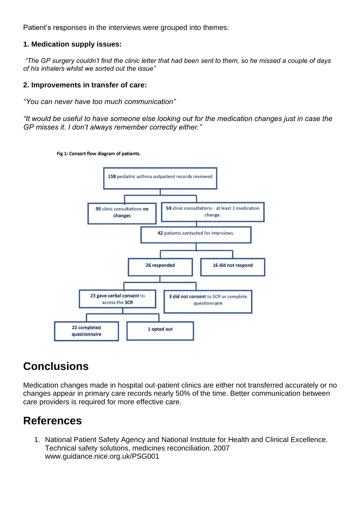Patient's responses in the interviews were grouped into themes:

#### **1. Medication supply issues:**

*"The GP surgery couldn't find the clinic letter that had been sent to them, so he missed a couple of days of his inhalers whilst we sorted out the issue"*

#### **2. Improvements in transfer of care:**

*"You can never have too much communication"* 

*"It would be useful to have someone else looking out for the medication changes just in case the GP misses it. I don't always remember correctly either."*

Fig 1: Consort flow diagram of patients.



#### **Conclusions**

Medication changes made in hospital out-patient clinics are either not transferred accurately or no changes appear in primary care records nearly 50% of the time. Better communication between care providers is required for more effective care.

#### **References**

1. National Patient Safety Agency and National Institute for Health and Clinical Excellence. Technical safety solutions, medicines reconciliation. 2007 www.guidance.nice.org.uk/PSG001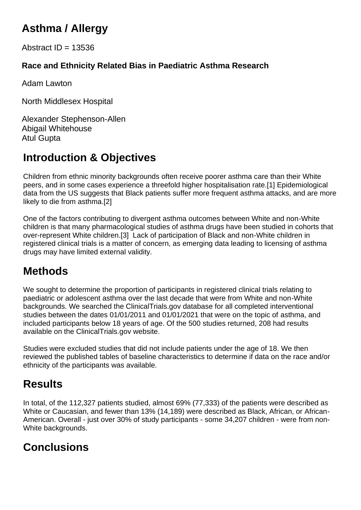# **Asthma / Allergy**

Abstract  $ID = 13536$ 

#### **Race and Ethnicity Related Bias in Paediatric Asthma Research**

Adam Lawton

North Middlesex Hospital

Alexander Stephenson-Allen Abigail Whitehouse Atul Gupta

# **Introduction & Objectives**

Children from ethnic minority backgrounds often receive poorer asthma care than their White peers, and in some cases experience a threefold higher hospitalisation rate.[1] Epidemiological data from the US suggests that Black patients suffer more frequent asthma attacks, and are more likely to die from asthma.[2]

One of the factors contributing to divergent asthma outcomes between White and non-White children is that many pharmacological studies of asthma drugs have been studied in cohorts that over-represent White children.[3] Lack of participation of Black and non-White children in registered clinical trials is a matter of concern, as emerging data leading to licensing of asthma drugs may have limited external validity.

# **Methods**

We sought to determine the proportion of participants in registered clinical trials relating to paediatric or adolescent asthma over the last decade that were from White and non-White backgrounds. We searched the ClinicalTrials.gov database for all completed interventional studies between the dates 01/01/2011 and 01/01/2021 that were on the topic of asthma, and included participants below 18 years of age. Of the 500 studies returned, 208 had results available on the ClinicalTrials.gov website.

Studies were excluded studies that did not include patients under the age of 18. We then reviewed the published tables of baseline characteristics to determine if data on the race and/or ethnicity of the participants was available.

## **Results**

In total, of the 112,327 patients studied, almost 69% (77,333) of the patients were described as White or Caucasian, and fewer than 13% (14,189) were described as Black, African, or African-American. Overall - just over 30% of study participants - some 34,207 children - were from non-White backgrounds.

## **Conclusions**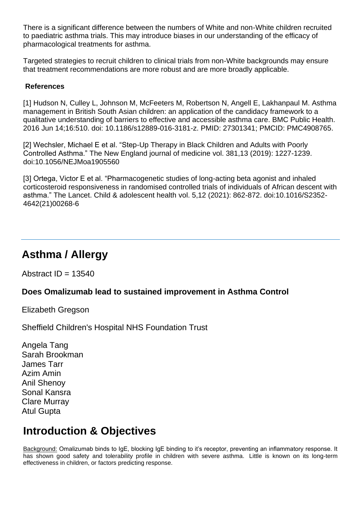There is a significant difference between the numbers of White and non-White children recruited to paediatric asthma trials. This may introduce biases in our understanding of the efficacy of pharmacological treatments for asthma.

Targeted strategies to recruit children to clinical trials from non-White backgrounds may ensure that treatment recommendations are more robust and are more broadly applicable.

#### **References**

[1] Hudson N, Culley L, Johnson M, McFeeters M, Robertson N, Angell E, Lakhanpaul M. Asthma management in British South Asian children: an application of the candidacy framework to a qualitative understanding of barriers to effective and accessible asthma care. BMC Public Health. 2016 Jun 14;16:510. doi: 10.1186/s12889-016-3181-z. PMID: 27301341; PMCID: PMC4908765.

[2] Wechsler, Michael E et al. "Step-Up Therapy in Black Children and Adults with Poorly Controlled Asthma." The New England journal of medicine vol. 381,13 (2019): 1227-1239. doi:10.1056/NEJMoa1905560

[3] Ortega, Victor E et al. "Pharmacogenetic studies of long-acting beta agonist and inhaled corticosteroid responsiveness in randomised controlled trials of individuals of African descent with asthma." The Lancet. Child & adolescent health vol. 5,12 (2021): 862-872. doi:10.1016/S2352- 4642(21)00268-6

#### **Asthma / Allergy**

Abstract  $ID = 13540$ 

#### **Does Omalizumab lead to sustained improvement in Asthma Control**

Elizabeth Gregson

Sheffield Children's Hospital NHS Foundation Trust

Angela Tang Sarah Brookman James Tarr Azim Amin Anil Shenoy Sonal Kansra Clare Murray Atul Gupta

#### **Introduction & Objectives**

Background: Omalizumab binds to IgE, blocking IgE binding to it's receptor, preventing an inflammatory response. It has shown good safety and tolerability profile in children with severe asthma. Little is known on its long-term effectiveness in children, or factors predicting response.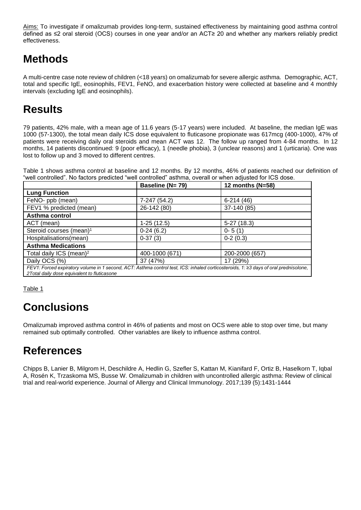Aims: To investigate if omalizumab provides long-term, sustained effectiveness by maintaining good asthma control defined as ≤2 oral steroid (OCS) courses in one year and/or an ACT≥ 20 and whether any markers reliably predict effectiveness.

# **Methods**

A multi-centre case note review of children (<18 years) on omalizumab for severe allergic asthma. Demographic, ACT, total and specific IgE, eosinophils, FEV1, FeNO, and exacerbation history were collected at baseline and 4 monthly intervals (excluding IgE and eosinophils).

## **Results**

79 patients, 42% male, with a mean age of 11.6 years (5-17 years) were included. At baseline, the median IgE was 1000 (57-1300), the total mean daily ICS dose equivalent to fluticasone propionate was 617mcg (400-1000), 47% of patients were receiving daily oral steroids and mean ACT was 12. The follow up ranged from 4-84 months. In 12 months, 14 patients discontinued: 9 (poor efficacy), 1 (needle phobia), 3 (unclear reasons) and 1 (urticaria). One was lost to follow up and 3 moved to different centres.

Table 1 shows asthma control at baseline and 12 months. By 12 months, 46% of patients reached our definition of "well controlled". No factors predicted "well controlled" asthma, overall or when adjusted for ICS dose.

|                                                                                                                                                                                      | Baseline (N= 79) | 12 months ( $N=58$ ) |  |  |
|--------------------------------------------------------------------------------------------------------------------------------------------------------------------------------------|------------------|----------------------|--|--|
| <b>Lung Function</b>                                                                                                                                                                 |                  |                      |  |  |
| FeNO- ppb (mean)                                                                                                                                                                     | 7-247 (54.2)     | $6-214(46)$          |  |  |
| FEV1 % predicted (mean)                                                                                                                                                              | 26-142 (80)      | 37-140 (85)          |  |  |
| Asthma control                                                                                                                                                                       |                  |                      |  |  |
| ACT (mean)                                                                                                                                                                           | $1-25(12.5)$     | $5-27(18.3)$         |  |  |
| Steroid courses (mean) <sup>1</sup>                                                                                                                                                  | $0-24(6.2)$      | $0 - 5(1)$           |  |  |
| Hospitalisations(mean)                                                                                                                                                               | $0-37(3)$        | $0-2(0.3)$           |  |  |
| <b>Asthma Medications</b>                                                                                                                                                            |                  |                      |  |  |
| Total daily ICS (mean) <sup>2</sup>                                                                                                                                                  | 400-1000 (671)   | 200-2000 (657)       |  |  |
| Daily OCS (%)                                                                                                                                                                        | 37 (47%)         | 17 (29%)             |  |  |
| FEV1: Forced expiratory volume in 1 second, ACT: Asthma control test, ICS: inhaled corticosteroids, 1: ≥3 days of oral prednisolone,<br>2 Total daily dose equivalent to fluticasone |                  |                      |  |  |

Table 1

## **Conclusions**

Omalizumab improved asthma control in 46% of patients and most on OCS were able to stop over time, but many remained sub optimally controlled. Other variables are likely to influence asthma control.

## **References**

Chipps B, Lanier B, Milgrom H, Deschildre A, Hedlin G, Szefler S, Kattan M, Kianifard F, Ortiz B, Haselkorn T, Iqbal A, Rosén K, Trzaskoma MS, Busse W. Omalizumab in children with uncontrolled allergic asthma: Review of clinical trial and real-world experience. Journal of Allergy and Clinical Immunology. 2017;139 (5):1431-1444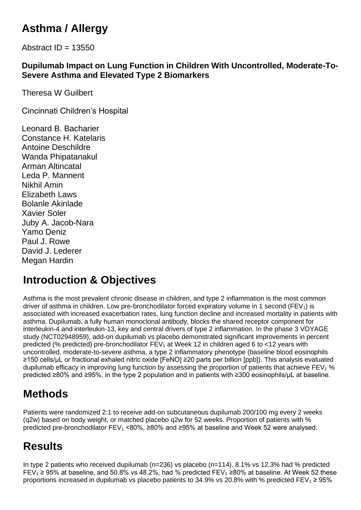# **Asthma / Allergy**

Abstract  $ID = 13550$ 

#### **Dupilumab Impact on Lung Function in Children With Uncontrolled, Moderate-To-Severe Asthma and Elevated Type 2 Biomarkers**

Theresa W Guilbert

Cincinnati Children's Hospital

Leonard B. Bacharier Constance H. Katelaris Antoine Deschildre Wanda Phipatanakul Arman Altincatal Leda P. Mannent Nikhil Amin Elizabeth Laws Bolanle Akinlade Xavier Soler Juby A. Jacob-Nara Yamo Deniz Paul J. Rowe David J. Lederer Megan Hardin

## **Introduction & Objectives**

Asthma is the most prevalent chronic disease in children, and type 2 inflammation is the most common driver of asthma in children. Low pre-bronchodilator forced expiratory volume in 1 second ( $FEV<sub>1</sub>$ ) is associated with increased exacerbation rates, lung function decline and increased mortality in patients with asthma. Dupilumab, a fully human monoclonal antibody, blocks the shared receptor component for interleukin-4 and interleukin-13, key and central drivers of type 2 inflammation. In the phase 3 VOYAGE study (NCT02948959), add-on dupilumab vs placebo demonstrated significant improvements in percent predicted (% predicted) pre-bronchodilator  $FEV<sub>1</sub>$  at Week 12 in children aged 6 to <12 years with uncontrolled, moderate-to-severe asthma, a type 2 inflammatory phenotype (baseline blood eosinophils ≥150 cells/μL or fractional exhaled nitric oxide [FeNO] ≥20 parts per billion [ppb]). This analysis evaluated dupilumab efficacy in improving lung function by assessing the proportion of patients that achieve  $FEV<sub>1</sub>$ % predicted ≥80% and ≥95%, in the type 2 population and in patients with ≥300 eosinophils/μL at baseline.

## **Methods**

Patients were randomized 2:1 to receive add-on subcutaneous dupilumab 200/100 mg every 2 weeks (q2w) based on body weight, or matched placebo q2w for 52 weeks. Proportion of patients with % predicted pre-bronchodilator FEV<sub>1</sub> <80%, ≥80% and ≥95% at baseline and Week 52 were analysed.

## **Results**

In type 2 patients who received dupilumab (n=236) vs placebo (n=114), 8.1% vs 12.3% had % predicted FEV<sub>1</sub> ≥ 95% at baseline, and 50.8% vs 48.2%, had % predicted FEV<sub>1</sub> ≥80% at baseline. At Week 52 these proportions increased in dupilumab vs placebo patients to 34.9% vs 20.8% with % predicted FEV<sub>1</sub> ≥ 95%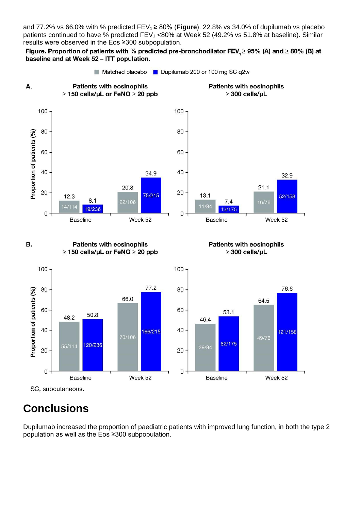and 77.2% vs 66.0% with % predicted FEV1 ≥ 80% (**Figure**). 22.8% vs 34.0% of dupilumab vs placebo patients continued to have % predicted  $FEV<sub>1</sub>$  <80% at Week 52 (49.2% vs 51.8% at baseline). Similar results were observed in the Eos ≥300 subpopulation.

Figure. Proportion of patients with % predicted pre-bronchodilator FEV,  $\geq$  95% (A) and  $\geq$  80% (B) at baseline and at Week 52 - ITT population.

Matched placebo **D** Dupilumab 200 or 100 mg SC q2w **Patients with eosinophils Patients with eosinophils**  $\geq$  150 cells/uL or FeNO  $\geq$  20 ppb  $\geq$  300 cells/uL 100  $100 -$ 80 80 60 60



#### **Patients with eosinophils** В.  $\geq$  150 cells/µL or FeNO  $\geq$  20 ppb

 $8.1$ 

19/236

20.8

22/106





SC, subcutaneous.

Α.

Proportion of patients (%)

40

20

 $\mathbf 0$ 

 $12.3$ 

 $14/114$ 

**Baseline** 

## **Conclusions**

Dupilumab increased the proportion of paediatric patients with improved lung function, in both the type 2 population as well as the Eos ≥300 subpopulation.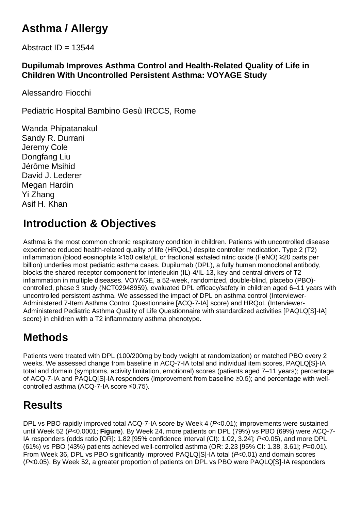# **Asthma / Allergy**

Abstract  $ID = 13544$ 

#### **Dupilumab Improves Asthma Control and Health-Related Quality of Life in Children With Uncontrolled Persistent Asthma: VOYAGE Study**

Alessandro Fiocchi

Pediatric Hospital Bambino Gesù IRCCS, Rome

Wanda Phipatanakul Sandy R. Durrani Jeremy Cole Dongfang Liu Jérôme Msihid David J. Lederer Megan Hardin Yi Zhang Asif H. Khan

## **Introduction & Objectives**

Asthma is the most common chronic respiratory condition in children. Patients with uncontrolled disease experience reduced health-related quality of life (HRQoL) despite controller medication. Type 2 (T2) inflammation (blood eosinophils ≥150 cells/µL or fractional exhaled nitric oxide (FeNO) ≥20 parts per billion) underlies most pediatric asthma cases. Dupilumab (DPL), a fully human monoclonal antibody, blocks the shared receptor component for interleukin (IL)-4/IL-13, key and central drivers of T2 inflammation in multiple diseases. VOYAGE, a 52-week, randomized, double-blind, placebo (PBO) controlled, phase 3 study (NCT02948959), evaluated DPL efficacy/safety in children aged 6–11 years with uncontrolled persistent asthma. We assessed the impact of DPL on asthma control (Interviewer-Administered 7-Item Asthma Control Questionnaire [ACQ-7-IA] score) and HRQoL (Interviewer-Administered Pediatric Asthma Quality of Life Questionnaire with standardized activities [PAQLQ[S]-IA] score) in children with a T2 inflammatory asthma phenotype.

# **Methods**

Patients were treated with DPL (100/200mg by body weight at randomization) or matched PBO every 2 weeks. We assessed change from baseline in ACQ-7-IA total and individual item scores, PAQLQ[S]-IA total and domain (symptoms, activity limitation, emotional) scores (patients aged 7–11 years); percentage of ACQ-7-IA and PAQLQ[S]-IA responders (improvement from baseline ≥0.5); and percentage with wellcontrolled asthma (ACQ-7-IA score ≤0.75).

## **Results**

DPL vs PBO rapidly improved total ACQ-7-IA score by Week 4 (*P<*0.01); improvements were sustained until Week 52 (*P*<0.0001; **Figure**). By Week 24, more patients on DPL (79%) vs PBO (69%) were ACQ-7- IA responders (odds ratio [OR]: 1.82 [95% confidence interval (CI): 1.02, 3.24]; *P*<0.05), and more DPL (61%) vs PBO (43%) patients achieved well-controlled asthma (OR: 2.23 [95% CI: 1.38, 3.61]; *P*=0.01). From Week 36, DPL vs PBO significantly improved PAQLQ[S]-IA total (*P*<0.01) and domain scores (*P*<0.05). By Week 52, a greater proportion of patients on DPL vs PBO were PAQLQ[S]-IA responders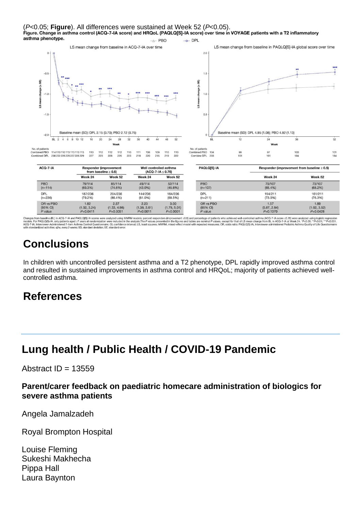



is from baseline (BL) in ACQ-7-IA and PAQLQ(S}-IA scores were analyzed using MMRM models; percent responders (improvement ≿0.5) and percentage of patients who achieved well-controlled asthma (ACQ-7-IA score ≤0.75) were ana

#### **Conclusions**

In children with uncontrolled persistent asthma and a T2 phenotype, DPL rapidly improved asthma control and resulted in sustained improvements in asthma control and HRQoL; majority of patients achieved wellcontrolled asthma.

#### **References**

## **Lung health / Public Health / COVID-19 Pandemic**

Abstract  $ID = 13559$ 

#### **Parent/carer feedback on paediatric homecare administration of biologics for severe asthma patients**

Angela Jamalzadeh

Royal Brompton Hospital

Louise Fleming Sukeshi Makhecha Pippa Hall Laura Baynton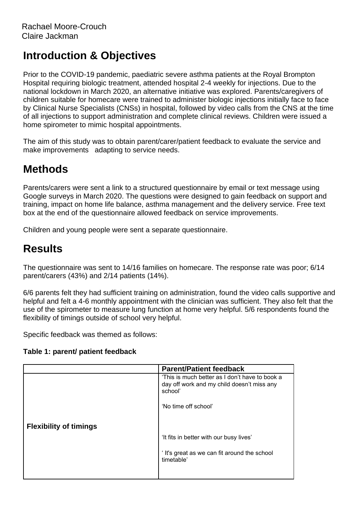Prior to the COVID-19 pandemic, paediatric severe asthma patients at the Royal Brompton Hospital requiring biologic treatment, attended hospital 2-4 weekly for injections. Due to the national lockdown in March 2020, an alternative initiative was explored. Parents/caregivers of children suitable for homecare were trained to administer biologic injections initially face to face by Clinical Nurse Specialists (CNSs) in hospital, followed by video calls from the CNS at the time of all injections to support administration and complete clinical reviews. Children were issued a home spirometer to mimic hospital appointments.

The aim of this study was to obtain parent/carer/patient feedback to evaluate the service and make improvements adapting to service needs.

## **Methods**

Parents/carers were sent a link to a structured questionnaire by email or text message using Google surveys in March 2020. The questions were designed to gain feedback on support and training, impact on home life balance, asthma management and the delivery service. Free text box at the end of the questionnaire allowed feedback on service improvements.

Children and young people were sent a separate questionnaire.

#### **Results**

The questionnaire was sent to 14/16 families on homecare. The response rate was poor; 6/14 parent/carers (43%) and 2/14 patients (14%).

6/6 parents felt they had sufficient training on administration, found the video calls supportive and helpful and felt a 4-6 monthly appointment with the clinician was sufficient. They also felt that the use of the spirometer to measure lung function at home very helpful. 5/6 respondents found the flexibility of timings outside of school very helpful.

Specific feedback was themed as follows:

#### **Table 1: parent/ patient feedback**

|                               | <b>Parent/Patient feedback</b>                                                                          |
|-------------------------------|---------------------------------------------------------------------------------------------------------|
|                               | 'This is much better as I don't have to book a<br>day off work and my child doesn't miss any<br>school' |
|                               | 'No time off school'                                                                                    |
| <b>Flexibility of timings</b> | 'It fits in better with our busy lives'<br>It's great as we can fit around the school<br>timetable'     |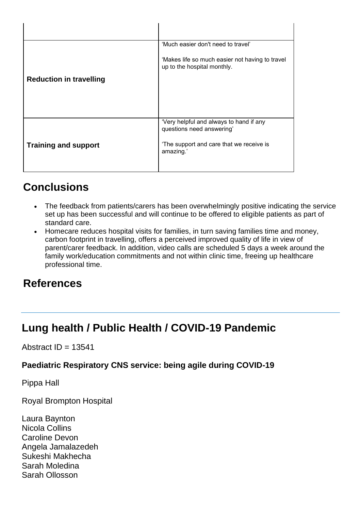|                                | 'Much easier don't need to travel'                                             |
|--------------------------------|--------------------------------------------------------------------------------|
|                                | 'Makes life so much easier not having to travel<br>up to the hospital monthly. |
| <b>Reduction in travelling</b> |                                                                                |
|                                |                                                                                |
|                                | 'Very helpful and always to hand if any<br>questions need answering'           |
| <b>Training and support</b>    | The support and care that we receive is<br>amazing.'                           |
|                                |                                                                                |

## **Conclusions**

- The feedback from patients/carers has been overwhelmingly positive indicating the service set up has been successful and will continue to be offered to eligible patients as part of standard care.
- Homecare reduces hospital visits for families, in turn saving families time and money, carbon footprint in travelling, offers a perceived improved quality of life in view of parent/carer feedback. In addition, video calls are scheduled 5 days a week around the family work/education commitments and not within clinic time, freeing up healthcare professional time.

#### **References**

#### **Lung health / Public Health / COVID-19 Pandemic**

#### Abstract  $ID = 13541$

#### **Paediatric Respiratory CNS service: being agile during COVID-19**

Pippa Hall

Royal Brompton Hospital

Laura Baynton Nicola Collins Caroline Devon Angela Jamalazedeh Sukeshi Makhecha Sarah Moledina Sarah Ollosson